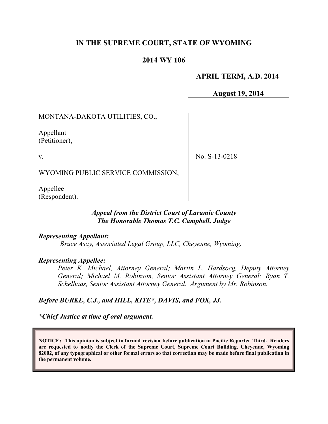# **IN THE SUPREME COURT, STATE OF WYOMING**

### **2014 WY 106**

### **APRIL TERM, A.D. 2014**

**August 19, 2014**

MONTANA-DAKOTA UTILITIES, CO.,

Appellant (Petitioner),

v.

No. S-13-0218

WYOMING PUBLIC SERVICE COMMISSION,

Appellee (Respondent).

#### *Appeal from the District Court of Laramie County The Honorable Thomas T.C. Campbell, Judge*

*Representing Appellant:*

*Bruce Asay, Associated Legal Group, LLC, Cheyenne, Wyoming.*

#### *Representing Appellee:*

*Peter K. Michael, Attorney General; Martin L. Hardsocg, Deputy Attorney General; Michael M. Robinson, Senior Assistant Attorney General; Ryan T. Schelhaas, Senior Assistant Attorney General. Argument by Mr. Robinson.*

#### *Before BURKE, C.J., and HILL, KITE\*, DAVIS, and FOX, JJ.*

*\*Chief Justice at time of oral argument.*

**NOTICE: This opinion is subject to formal revision before publication in Pacific Reporter Third. Readers are requested to notify the Clerk of the Supreme Court, Supreme Court Building, Cheyenne, Wyoming 82002, of any typographical or other formal errors so that correction may be made before final publication in the permanent volume.**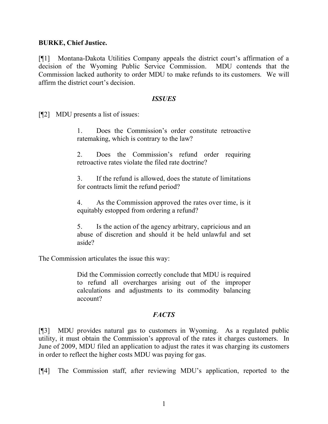### **BURKE, Chief Justice.**

[¶1] Montana-Dakota Utilities Company appeals the district court's affirmation of a decision of the Wyoming Public Service Commission. MDU contends that the Commission lacked authority to order MDU to make refunds to its customers. We will affirm the district court's decision.

#### *ISSUES*

[¶2] MDU presents a list of issues:

1. Does the Commission's order constitute retroactive ratemaking, which is contrary to the law?

2. Does the Commission's refund order requiring retroactive rates violate the filed rate doctrine?

3. If the refund is allowed, does the statute of limitations for contracts limit the refund period?

4. As the Commission approved the rates over time, is it equitably estopped from ordering a refund?

5. Is the action of the agency arbitrary, capricious and an abuse of discretion and should it be held unlawful and set aside?

The Commission articulates the issue this way:

Did the Commission correctly conclude that MDU is required to refund all overcharges arising out of the improper calculations and adjustments to its commodity balancing account?

## *FACTS*

[¶3] MDU provides natural gas to customers in Wyoming. As a regulated public utility, it must obtain the Commission's approval of the rates it charges customers. In June of 2009, MDU filed an application to adjust the rates it was charging its customers in order to reflect the higher costs MDU was paying for gas.

[¶4] The Commission staff, after reviewing MDU's application, reported to the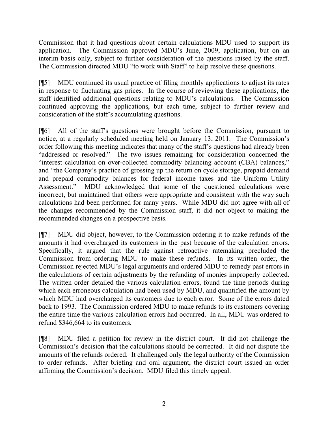Commission that it had questions about certain calculations MDU used to support its application. The Commission approved MDU's June, 2009, application, but on an interim basis only, subject to further consideration of the questions raised by the staff. The Commission directed MDU "to work with Staff" to help resolve these questions.

[¶5] MDU continued its usual practice of filing monthly applications to adjust its rates in response to fluctuating gas prices. In the course of reviewing these applications, the staff identified additional questions relating to MDU's calculations. The Commission continued approving the applications, but each time, subject to further review and consideration of the staff's accumulating questions.

[¶6] All of the staff's questions were brought before the Commission, pursuant to notice, at a regularly scheduled meeting held on January 13, 2011. The Commission's order following this meeting indicates that many of the staff's questions had already been "addressed or resolved." The two issues remaining for consideration concerned the "interest calculation on over-collected commodity balancing account (CBA) balances," and "the Company's practice of grossing up the return on cycle storage, prepaid demand and prepaid commodity balances for federal income taxes and the Uniform Utility Assessment." MDU acknowledged that some of the questioned calculations were incorrect, but maintained that others were appropriate and consistent with the way such calculations had been performed for many years. While MDU did not agree with all of the changes recommended by the Commission staff, it did not object to making the recommended changes on a prospective basis.

[¶7] MDU did object, however, to the Commission ordering it to make refunds of the amounts it had overcharged its customers in the past because of the calculation errors. Specifically, it argued that the rule against retroactive ratemaking precluded the Commission from ordering MDU to make these refunds. In its written order, the Commission rejected MDU's legal arguments and ordered MDU to remedy past errors in the calculations of certain adjustments by the refunding of monies improperly collected. The written order detailed the various calculation errors, found the time periods during which each erroneous calculation had been used by MDU, and quantified the amount by which MDU had overcharged its customers due to each error. Some of the errors dated back to 1993. The Commission ordered MDU to make refunds to its customers covering the entire time the various calculation errors had occurred. In all, MDU was ordered to refund \$346,664 to its customers.

[¶8] MDU filed a petition for review in the district court. It did not challenge the Commission's decision that the calculations should be corrected. It did not dispute the amounts of the refunds ordered. It challenged only the legal authority of the Commission to order refunds. After briefing and oral argument, the district court issued an order affirming the Commission's decision. MDU filed this timely appeal.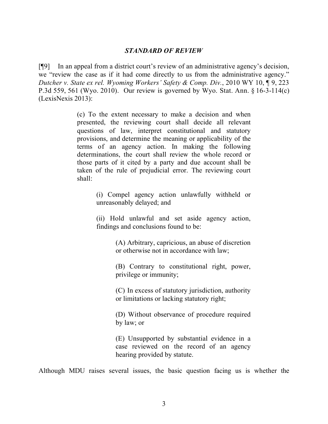#### *STANDARD OF REVIEW*

[¶9] In an appeal from a district court's review of an administrative agency's decision, we "review the case as if it had come directly to us from the administrative agency." *Dutcher v. State ex rel. Wyoming Workers' Safety & Comp. Div.*, 2010 WY 10, ¶ 9, 223 P.3d 559, 561 (Wyo. 2010). Our review is governed by Wyo. Stat. Ann. § 16-3-114(c) (LexisNexis 2013):

> (c) To the extent necessary to make a decision and when presented, the reviewing court shall decide all relevant questions of law, interpret constitutional and statutory provisions, and determine the meaning or applicability of the terms of an agency action. In making the following determinations, the court shall review the whole record or those parts of it cited by a party and due account shall be taken of the rule of prejudicial error. The reviewing court shall:

> > (i) Compel agency action unlawfully withheld or unreasonably delayed; and

> > (ii) Hold unlawful and set aside agency action, findings and conclusions found to be:

> > > (A) Arbitrary, capricious, an abuse of discretion or otherwise not in accordance with law;

> > > (B) Contrary to constitutional right, power, privilege or immunity;

> > > (C) In excess of statutory jurisdiction, authority or limitations or lacking statutory right;

> > > (D) Without observance of procedure required by law; or

> > > (E) Unsupported by substantial evidence in a case reviewed on the record of an agency hearing provided by statute.

Although MDU raises several issues, the basic question facing us is whether the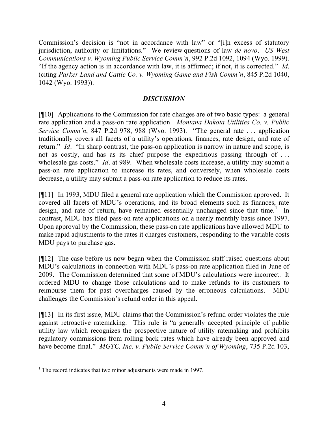Commission's decision is "not in accordance with law" or "[i]n excess of statutory jurisdiction, authority or limitations." We review questions of law *de novo*. *US West Communications v. Wyoming Public Service Comm'n*, 992 P.2d 1092, 1094 (Wyo. 1999). "If the agency action is in accordance with law, it is affirmed; if not, it is corrected." *Id*. (citing *Parker Land and Cattle Co. v. Wyoming Game and Fish Comm'n*, 845 P.2d 1040, 1042 (Wyo. 1993)).

## *DISCUSSION*

[¶10] Applications to the Commission for rate changes are of two basic types: a general rate application and a pass-on rate application. *Montana Dakota Utilities Co. v. Public Service Comm'n*, 847 P.2d 978, 988 (Wyo. 1993). "The general rate . . . application traditionally covers all facets of a utility's operations, finances, rate design, and rate of return." *Id*. "In sharp contrast, the pass-on application is narrow in nature and scope, is not as costly, and has as its chief purpose the expeditious passing through of . . . wholesale gas costs." *Id*. at 989. When wholesale costs increase, a utility may submit a pass-on rate application to increase its rates, and conversely, when wholesale costs decrease, a utility may submit a pass-on rate application to reduce its rates.

[¶11] In 1993, MDU filed a general rate application which the Commission approved. It covered all facets of MDU's operations, and its broad elements such as finances, rate design, and rate of return, have remained essentially unchanged since that time.<sup>1</sup> In contrast, MDU has filed pass-on rate applications on a nearly monthly basis since 1997. Upon approval by the Commission, these pass-on rate applications have allowed MDU to make rapid adjustments to the rates it charges customers, responding to the variable costs MDU pays to purchase gas.

[¶12] The case before us now began when the Commission staff raised questions about MDU's calculations in connection with MDU's pass-on rate application filed in June of 2009. The Commission determined that some of MDU's calculations were incorrect. It ordered MDU to change those calculations and to make refunds to its customers to reimburse them for past overcharges caused by the erroneous calculations. MDU challenges the Commission's refund order in this appeal.

[¶13] In its first issue, MDU claims that the Commission's refund order violates the rule against retroactive ratemaking. This rule is "a generally accepted principle of public utility law which recognizes the prospective nature of utility ratemaking and prohibits regulatory commissions from rolling back rates which have already been approved and have become final." *MGTC, Inc. v. Public Service Comm'n of Wyoming*, 735 P.2d 103,

 $\overline{a}$ 

<sup>&</sup>lt;sup>1</sup> The record indicates that two minor adjustments were made in 1997.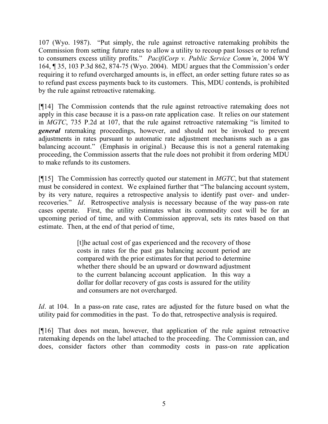107 (Wyo. 1987). "Put simply, the rule against retroactive ratemaking prohibits the Commission from setting future rates to allow a utility to recoup past losses or to refund to consumers excess utility profits." *PacifiCorp v. Public Service Comm'n*, 2004 WY 164, ¶ 35, 103 P.3d 862, 874-75 (Wyo. 2004). MDU argues that the Commission's order requiring it to refund overcharged amounts is, in effect, an order setting future rates so as to refund past excess payments back to its customers. This, MDU contends, is prohibited by the rule against retroactive ratemaking.

[¶14] The Commission contends that the rule against retroactive ratemaking does not apply in this case because it is a pass-on rate application case. It relies on our statement in *MGTC*, 735 P.2d at 107, that the rule against retroactive ratemaking "is limited to *general* ratemaking proceedings, however, and should not be invoked to prevent adjustments in rates pursuant to automatic rate adjustment mechanisms such as a gas balancing account." (Emphasis in original.) Because this is not a general ratemaking proceeding, the Commission asserts that the rule does not prohibit it from ordering MDU to make refunds to its customers.

[¶15] The Commission has correctly quoted our statement in *MGTC*, but that statement must be considered in context. We explained further that "The balancing account system, by its very nature, requires a retrospective analysis to identify past over- and underrecoveries." *Id*. Retrospective analysis is necessary because of the way pass-on rate cases operate. First, the utility estimates what its commodity cost will be for an upcoming period of time, and with Commission approval, sets its rates based on that estimate. Then, at the end of that period of time,

> [t]he actual cost of gas experienced and the recovery of those costs in rates for the past gas balancing account period are compared with the prior estimates for that period to determine whether there should be an upward or downward adjustment to the current balancing account application. In this way a dollar for dollar recovery of gas costs is assured for the utility and consumers are not overcharged.

*Id*. at 104. In a pass-on rate case, rates are adjusted for the future based on what the utility paid for commodities in the past. To do that, retrospective analysis is required.

[¶16] That does not mean, however, that application of the rule against retroactive ratemaking depends on the label attached to the proceeding. The Commission can, and does, consider factors other than commodity costs in pass-on rate application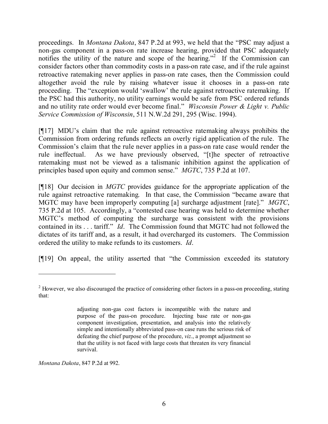proceedings. In *Montana Dakota*, 847 P.2d at 993, we held that the "PSC may adjust a non-gas component in a pass-on rate increase hearing, provided that PSC adequately notifies the utility of the nature and scope of the hearing."<sup>2</sup> If the Commission can consider factors other than commodity costs in a pass-on rate case, and if the rule against retroactive ratemaking never applies in pass-on rate cases, then the Commission could altogether avoid the rule by raising whatever issue it chooses in a pass-on rate proceeding. The "exception would 'swallow' the rule against retroactive ratemaking. If the PSC had this authority, no utility earnings would be safe from PSC ordered refunds and no utility rate order would ever become final." *Wisconsin Power & Light v. Public Service Commission of Wisconsin*, 511 N.W.2d 291, 295 (Wisc. 1994).

[¶17] MDU's claim that the rule against retroactive ratemaking always prohibits the Commission from ordering refunds reflects an overly rigid application of the rule. The Commission's claim that the rule never applies in a pass-on rate case would render the rule ineffectual. As we have previously observed, "[t]he specter of retroactive ratemaking must not be viewed as a talismanic inhibition against the application of principles based upon equity and common sense." *MGTC*, 735 P.2d at 107.

[¶18] Our decision in *MGTC* provides guidance for the appropriate application of the rule against retroactive ratemaking. In that case, the Commission "became aware that MGTC may have been improperly computing [a] surcharge adjustment [rate]." *MGTC*, 735 P.2d at 105. Accordingly, a "contested case hearing was held to determine whether MGTC's method of computing the surcharge was consistent with the provisions contained in its . . . tariff." *Id*. The Commission found that MGTC had not followed the dictates of its tariff and, as a result, it had overcharged its customers. The Commission ordered the utility to make refunds to its customers. *Id*.

[¶19] On appeal, the utility asserted that "the Commission exceeded its statutory

*Montana Dakota*, 847 P.2d at 992.

<sup>&</sup>lt;sup>2</sup> However, we also discouraged the practice of considering other factors in a pass-on proceeding, stating that:

adjusting non-gas cost factors is incompatible with the nature and purpose of the pass-on procedure. Injecting base rate or non-gas component investigation, presentation, and analysis into the relatively simple and intentionally abbreviated pass-on case runs the serious risk of defeating the chief purpose of the procedure, *viz*., a prompt adjustment so that the utility is not faced with large costs that threaten its very financial survival.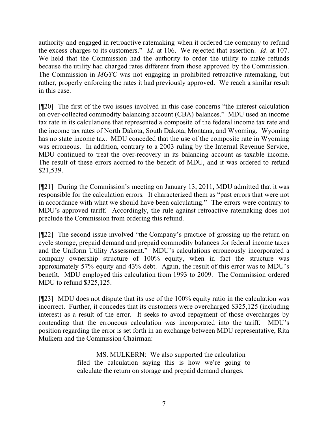authority and engaged in retroactive ratemaking when it ordered the company to refund the excess charges to its customers." *Id*. at 106. We rejected that assertion. *Id*. at 107. We held that the Commission had the authority to order the utility to make refunds because the utility had charged rates different from those approved by the Commission. The Commission in *MGTC* was not engaging in prohibited retroactive ratemaking, but rather, properly enforcing the rates it had previously approved. We reach a similar result in this case.

[¶20] The first of the two issues involved in this case concerns "the interest calculation on over-collected commodity balancing account (CBA) balances." MDU used an income tax rate in its calculations that represented a composite of the federal income tax rate and the income tax rates of North Dakota, South Dakota, Montana, and Wyoming. Wyoming has no state income tax. MDU conceded that the use of the composite rate in Wyoming was erroneous. In addition, contrary to a 2003 ruling by the Internal Revenue Service, MDU continued to treat the over-recovery in its balancing account as taxable income. The result of these errors accrued to the benefit of MDU, and it was ordered to refund \$21,539.

[¶21] During the Commission's meeting on January 13, 2011, MDU admitted that it was responsible for the calculation errors. It characterized them as "past errors that were not in accordance with what we should have been calculating." The errors were contrary to MDU's approved tariff. Accordingly, the rule against retroactive ratemaking does not preclude the Commission from ordering this refund.

[¶22] The second issue involved "the Company's practice of grossing up the return on cycle storage, prepaid demand and prepaid commodity balances for federal income taxes and the Uniform Utility Assessment." MDU's calculations erroneously incorporated a company ownership structure of 100% equity, when in fact the structure was approximately 57% equity and 43% debt. Again, the result of this error was to MDU's benefit. MDU employed this calculation from 1993 to 2009. The Commission ordered MDU to refund \$325,125.

[¶23] MDU does not dispute that its use of the 100% equity ratio in the calculation was incorrect. Further, it concedes that its customers were overcharged \$325,125 (including interest) as a result of the error. It seeks to avoid repayment of those overcharges by contending that the erroneous calculation was incorporated into the tariff. MDU's position regarding the error is set forth in an exchange between MDU representative, Rita Mulkern and the Commission Chairman:

> MS. MULKERN: We also supported the calculation – filed the calculation saying this is how we're going to calculate the return on storage and prepaid demand charges.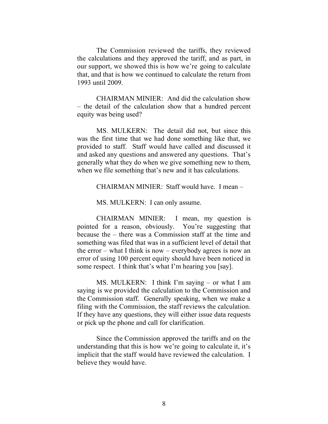The Commission reviewed the tariffs, they reviewed the calculations and they approved the tariff, and as part, in our support, we showed this is how we're going to calculate that, and that is how we continued to calculate the return from 1993 until 2009.

CHAIRMAN MINIER: And did the calculation show – the detail of the calculation show that a hundred percent equity was being used?

MS. MULKERN: The detail did not, but since this was the first time that we had done something like that, we provided to staff. Staff would have called and discussed it and asked any questions and answered any questions. That's generally what they do when we give something new to them, when we file something that's new and it has calculations.

 $CHAIRMAN$  MINIER: Staff would have I mean –

MS. MULKERN: I can only assume.

CHAIRMAN MINIER: I mean, my question is pointed for a reason, obviously. You're suggesting that because the – there was a Commission staff at the time and something was filed that was in a sufficient level of detail that the error – what I think is now – everybody agrees is now an error of using 100 percent equity should have been noticed in some respect. I think that's what I'm hearing you [say].

MS. MULKERN: I think I'm saying – or what I am saying is we provided the calculation to the Commission and the Commission staff. Generally speaking, when we make a filing with the Commission, the staff reviews the calculation. If they have any questions, they will either issue data requests or pick up the phone and call for clarification.

Since the Commission approved the tariffs and on the understanding that this is how we're going to calculate it, it's implicit that the staff would have reviewed the calculation. I believe they would have.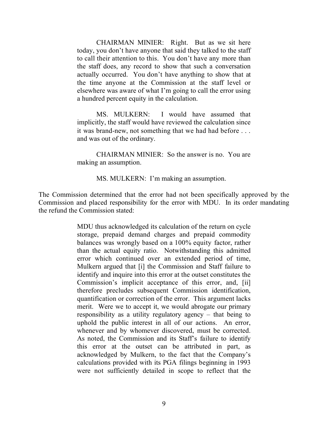CHAIRMAN MINIER: Right. But as we sit here today, you don't have anyone that said they talked to the staff to call their attention to this. You don't have any more than the staff does, any record to show that such a conversation actually occurred. You don't have anything to show that at the time anyone at the Commission at the staff level or elsewhere was aware of what I'm going to call the error using a hundred percent equity in the calculation.

MS. MULKERN: I would have assumed that implicitly, the staff would have reviewed the calculation since it was brand-new, not something that we had had before . . . and was out of the ordinary.

CHAIRMAN MINIER: So the answer is no. You are making an assumption.

MS. MULKERN: I'm making an assumption.

The Commission determined that the error had not been specifically approved by the Commission and placed responsibility for the error with MDU. In its order mandating the refund the Commission stated:

> MDU thus acknowledged its calculation of the return on cycle storage, prepaid demand charges and prepaid commodity balances was wrongly based on a 100% equity factor, rather than the actual equity ratio. Notwithstanding this admitted error which continued over an extended period of time, Mulkern argued that [i] the Commission and Staff failure to identify and inquire into this error at the outset constitutes the Commission's implicit acceptance of this error, and, [ii] therefore precludes subsequent Commission identification, quantification or correction of the error. This argument lacks merit. Were we to accept it, we would abrogate our primary responsibility as a utility regulatory agency – that being to uphold the public interest in all of our actions. An error, whenever and by whomever discovered, must be corrected. As noted, the Commission and its Staff's failure to identify this error at the outset can be attributed in part, as acknowledged by Mulkern, to the fact that the Company's calculations provided with its PGA filings beginning in 1993 were not sufficiently detailed in scope to reflect that the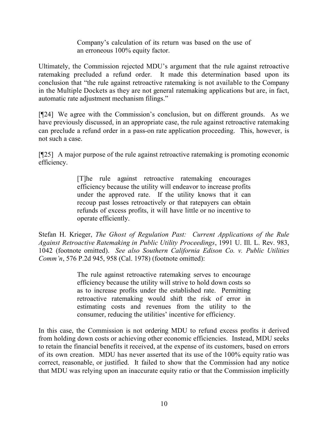Company's calculation of its return was based on the use of an erroneous 100% equity factor.

Ultimately, the Commission rejected MDU's argument that the rule against retroactive ratemaking precluded a refund order. It made this determination based upon its conclusion that "the rule against retroactive ratemaking is not available to the Company in the Multiple Dockets as they are not general ratemaking applications but are, in fact, automatic rate adjustment mechanism filings."

[¶24] We agree with the Commission's conclusion, but on different grounds. As we have previously discussed, in an appropriate case, the rule against retroactive ratemaking can preclude a refund order in a pass-on rate application proceeding. This, however, is not such a case.

[¶25] A major purpose of the rule against retroactive ratemaking is promoting economic efficiency.

> [T]he rule against retroactive ratemaking encourages efficiency because the utility will endeavor to increase profits under the approved rate. If the utility knows that it can recoup past losses retroactively or that ratepayers can obtain refunds of excess profits, it will have little or no incentive to operate efficiently.

Stefan H. Krieger, *The Ghost of Regulation Past: Current Applications of the Rule Against Retroactive Ratemaking in Public Utility Proceedings*, 1991 U. Ill. L. Rev. 983, 1042 (footnote omitted). *See also Southern California Edison Co. v. Public Utilities Comm'n*, 576 P.2d 945, 958 (Cal. 1978) (footnote omitted):

> The rule against retroactive ratemaking serves to encourage efficiency because the utility will strive to hold down costs so as to increase profits under the established rate. Permitting retroactive ratemaking would shift the risk of error in estimating costs and revenues from the utility to the consumer, reducing the utilities' incentive for efficiency.

In this case, the Commission is not ordering MDU to refund excess profits it derived from holding down costs or achieving other economic efficiencies. Instead, MDU seeks to retain the financial benefits it received, at the expense of its customers, based on errors of its own creation. MDU has never asserted that its use of the 100% equity ratio was correct, reasonable, or justified. It failed to show that the Commission had any notice that MDU was relying upon an inaccurate equity ratio or that the Commission implicitly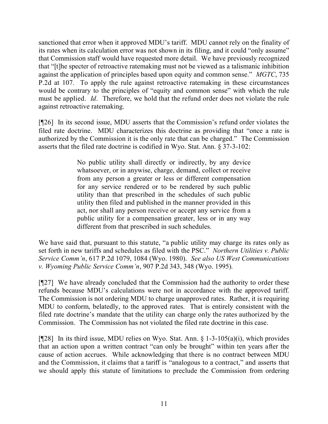sanctioned that error when it approved MDU's tariff. MDU cannot rely on the finality of its rates when its calculation error was not shown in its filing, and it could "only assume" that Commission staff would have requested more detail. We have previously recognized that "[t]he specter of retroactive ratemaking must not be viewed as a talismanic inhibition against the application of principles based upon equity and common sense." *MGTC*, 735 P.2d at 107. To apply the rule against retroactive ratemaking in these circumstances would be contrary to the principles of "equity and common sense" with which the rule must be applied. *Id*. Therefore, we hold that the refund order does not violate the rule against retroactive ratemaking.

[¶26] In its second issue, MDU asserts that the Commission's refund order violates the filed rate doctrine. MDU characterizes this doctrine as providing that "once a rate is authorized by the Commission it is the only rate that can be charged." The Commission asserts that the filed rate doctrine is codified in Wyo. Stat. Ann. § 37-3-102:

> No public utility shall directly or indirectly, by any device whatsoever, or in anywise, charge, demand, collect or receive from any person a greater or less or different compensation for any service rendered or to be rendered by such public utility than that prescribed in the schedules of such public utility then filed and published in the manner provided in this act, nor shall any person receive or accept any service from a public utility for a compensation greater, less or in any way different from that prescribed in such schedules.

We have said that, pursuant to this statute, "a public utility may charge its rates only as set forth in new tariffs and schedules as filed with the PSC." *Northern Utilities v. Public Service Comm'n*, 617 P.2d 1079, 1084 (Wyo. 1980). *See also US West Communications v. Wyoming Public Service Comm'n*, 907 P.2d 343, 348 (Wyo. 1995).

[¶27] We have already concluded that the Commission had the authority to order these refunds because MDU's calculations were not in accordance with the approved tariff. The Commission is not ordering MDU to charge unapproved rates. Rather, it is requiring MDU to conform, belatedly, to the approved rates. That is entirely consistent with the filed rate doctrine's mandate that the utility can charge only the rates authorized by the Commission. The Commission has not violated the filed rate doctrine in this case.

[ $[28]$  In its third issue, MDU relies on Wyo. Stat. Ann. § 1-3-105(a)(i), which provides that an action upon a written contract "can only be brought" within ten years after the cause of action accrues. While acknowledging that there is no contract between MDU and the Commission, it claims that a tariff is "analogous to a contract," and asserts that we should apply this statute of limitations to preclude the Commission from ordering